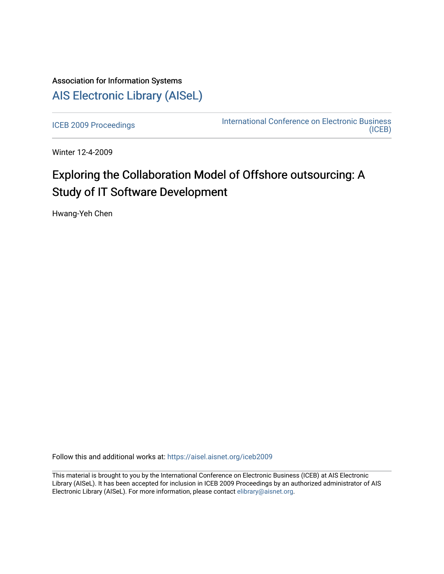## Association for Information Systems [AIS Electronic Library \(AISeL\)](https://aisel.aisnet.org/)

[ICEB 2009 Proceedings](https://aisel.aisnet.org/iceb2009) **International Conference on Electronic Business** [\(ICEB\)](https://aisel.aisnet.org/iceb) 

Winter 12-4-2009

# Exploring the Collaboration Model of Offshore outsourcing: A Study of IT Software Development

Hwang-Yeh Chen

Follow this and additional works at: [https://aisel.aisnet.org/iceb2009](https://aisel.aisnet.org/iceb2009?utm_source=aisel.aisnet.org%2Ficeb2009%2F83&utm_medium=PDF&utm_campaign=PDFCoverPages)

This material is brought to you by the International Conference on Electronic Business (ICEB) at AIS Electronic Library (AISeL). It has been accepted for inclusion in ICEB 2009 Proceedings by an authorized administrator of AIS Electronic Library (AISeL). For more information, please contact [elibrary@aisnet.org.](mailto:elibrary@aisnet.org%3E)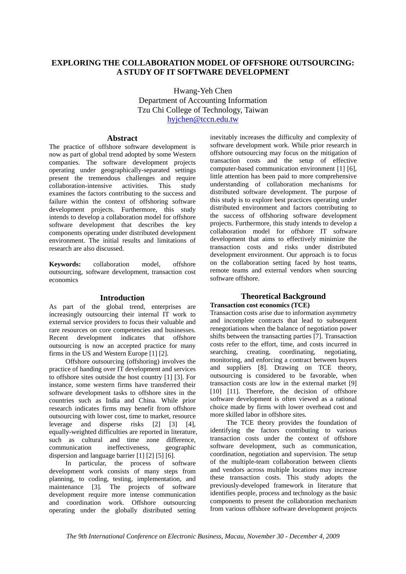## **EXPLORING THE COLLABORATION MODEL OF OFFSHORE OUTSOURCING: A STUDY OF IT SOFTWARE DEVELOPMENT**

Hwang-Yeh Chen Department of Accounting Information Tzu Chi College of Technology, Taiwan hyjchen@tccn.edu.tw

### **Abstract**

The practice of offshore software development is now as part of global trend adopted by some Western companies. The software development projects operating under geographically-separated settings present the tremendous challenges and require collaboration-intensive activities. This study examines the factors contributing to the success and failure within the context of offshoring software development projects. Furthermore, this study intends to develop a collaboration model for offshore software development that describes the key components operating under distributed development environment. The initial results and limitations of research are also discussed.

**Keywords:** collaboration model, offshore outsourcing, software development, transaction cost economics

#### **Introduction**

As part of the global trend, enterprises are increasingly outsourcing their internal IT work to external service providers to focus their valuable and rare resources on core competencies and businesses. Recent development indicates that offshore outsourcing is now an accepted practice for many firms in the US and Western Europe [1] [2].

Offshore outsourcing (offshoring) involves the practice of handing over IT development and services to offshore sites outside the host country [1] [3]. For instance, some western firms have transferred their software development tasks to offshore sites in the countries such as India and China. While prior research indicates firms may benefit from offshore outsourcing with lower cost, time to market, resource leverage and disperse risks [2] [3] [4], equally-weighted difficulties are reported in literature, such as cultural and time zone difference, communication ineffectiveness, geographic dispersion and language barrier [1] [2] [5] [6].

In particular, the process of software development work consists of many steps from planning, to coding, testing, implementation, and maintenance [3]. The projects of software development require more intense communication and coordination work. Offshore outsourcing operating under the globally distributed setting inevitably increases the difficulty and complexity of software development work. While prior research in offshore outsourcing may focus on the mitigation of transaction costs and the setup of effective computer-based communication environment [1] [6], little attention has been paid to more comprehensive understanding of collaboration mechanisms for distributed software development. The purpose of this study is to explore best practices operating under distributed environment and factors contributing to the success of offshoring software development projects. Furthermore, this study intends to develop a collaboration model for offshore IT software development that aims to effectively minimize the transaction costs and risks under distributed development environment. Our approach is to focus on the collaboration setting faced by host teams, remote teams and external vendors when sourcing software offshore.

## **Theoretical Background**

## **Transaction cost economics (TCE)**

Transaction costs arise due to information asymmetry and incomplete contracts that lead to subsequent renegotiations when the balance of negotiation power shifts between the transacting parties [7]. Transaction costs refer to the effort, time, and costs incurred in searching, creating, coordinating, negotiating, monitoring, and enforcing a contract between buyers and suppliers [8]. Drawing on TCE theory, outsourcing is considered to be favorable, when transaction costs are low in the external market [9] [10] [11]. Therefore, the decision of offshore software development is often viewed as a rational choice made by firms with lower overhead cost and more skilled labor in offshore sites.

The TCE theory provides the foundation of identifying the factors contributing to various transaction costs under the context of offshore software development, such as communication, coordination, negotiation and supervision. The setup of the multiple-team collaboration between clients and vendors across multiple locations may increase these transaction costs. This study adopts the previously-developed framework in literature that identifies people, process and technology as the basic components to present the collaboration mechanism from various offshore software development projects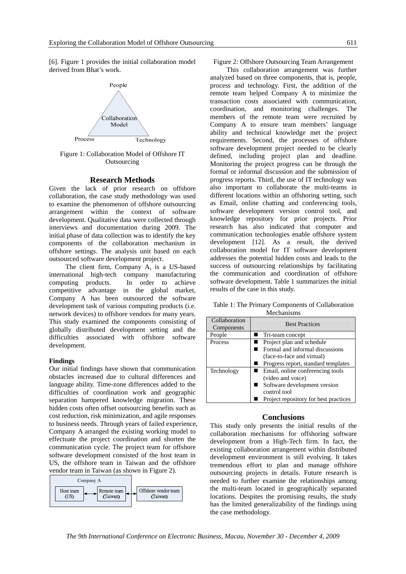[6]. Figure 1 provides the initial collaboration model derived from Bhat's work.



Figure 1: Collaboration Model of Offshore IT **Outsourcing** 

#### **Research Methods**

Given the lack of prior research on offshore collaboration, the case study methodology was used to examine the phenomenon of offshore outsourcing arrangement within the context of software development. Qualitative data were collected through interviews and documentation during 2009. The initial phase of data collection was to identify the key components of the collaboration mechanism in offshore settings. The analysis unit based on each outsourced software development project.

The client firm, Company A, is a US-based international high-tech company manufacturing computing products. In order to achieve competitive advantage in the global market, Company A has been outsourced the software development task of various computing products (i.e. network devices) to offshore vendors for many years. This study examined the components consisting of globally distributed development setting and the difficulties associated with offshore software development.

#### **Findings**

Our initial findings have shown that communication obstacles increased due to cultural differences and language ability. Time-zone differences added to the difficulties of coordination work and geographic separation hampered knowledge migration. These hidden costs often offset outsourcing benefits such as cost reduction, risk minimization, and agile responses to business needs. Through years of failed experience, Company A arranged the existing working model to effectuate the project coordination and shorten the communication cycle. The project team for offshore software development consisted of the host team in US, the offshore team in Taiwan and the offshore vendor team in Taiwan (as shown in Figure 2).



#### Figure 2: Offshore Outsourcing Team Arrangement

This collaboration arrangement was further analyzed based on three components, that is, people, process and technology. First, the addition of the remote team helped Company A to minimize the transaction costs associated with communication, coordination, and monitoring challenges. The members of the remote team were recruited by Company A to ensure team members' language ability and technical knowledge met the project requirements. Second, the processes of offshore software development project needed to be clearly defined, including project plan and deadline. Monitoring the project progress can be through the formal or informal discussion and the submission of progress reports. Third, the use of IT technology was also important to collaborate the multi-teams in different locations within an offshoring setting, such as Email, online chatting and conferencing tools, software development version control tool, and knowledge repository for prior projects. Prior research has also indicated that computer and communication technologies enable offshore system development [12]. As a result, the derived collaboration model for IT software development addresses the potential hidden costs and leads to the success of outsourcing relationships by facilitating the communication and coordination of offshore software development. Table 1 summarizes the initial results of the case in this study.

Table 1: The Primary Components of Collaboration Mechanisms

| Collaboration<br>Components | <b>Best Practices</b>                 |
|-----------------------------|---------------------------------------|
| People                      | Tri-team concept                      |
| <b>Process</b>              | Project plan and schedule             |
|                             | Formal and informal discussions       |
|                             | (face-to-face and virtual)            |
|                             | Progress report, standard templates   |
| Technology                  | Email, online conferencing tools      |
|                             | (video and voice)                     |
|                             | Software development version          |
|                             | control tool                          |
|                             | Project repository for best practices |

#### **Conclusions**

This study only presents the initial results of the collaboration mechanisms for offshoring software development from a High-Tech firm. In fact, the existing collaboration arrangement within distributed development environment is still evolving. It takes tremendous effort to plan and manage offshore outsourcing projects in details. Future research is needed to further examine the relationships among the multi-team located in geographically separated locations. Despites the promising results, the study has the limited generalizability of the findings using the case methodology.